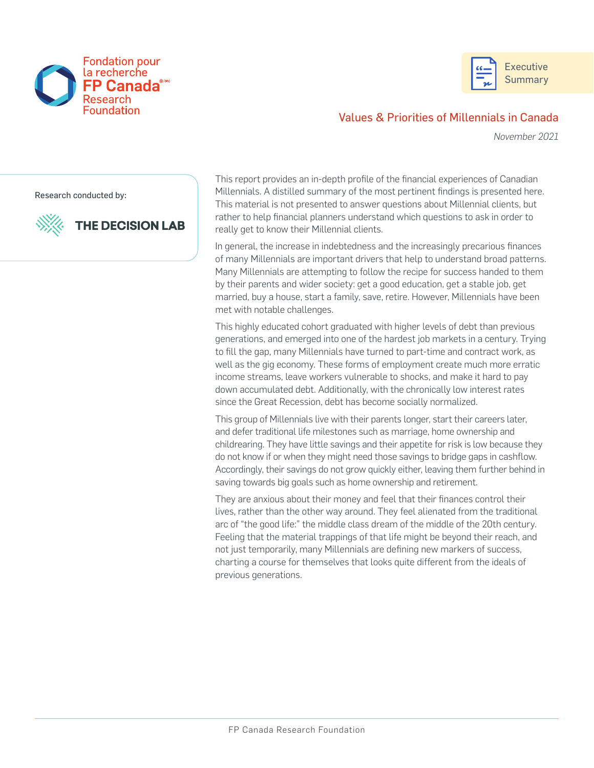



## Values & Priorities of Millennials in Canada

*November 2021* 

Research conducted by:

**THE DECISION LAB** 



This report provides an in-depth profle of the fnancial experiences of Canadian Millennials. A distilled summary of the most pertinent fndings is presented here. This material is not presented to answer questions about Millennial clients, but rather to help fnancial planners understand which questions to ask in order to really get to know their Millennial clients.

In general, the increase in indebtedness and the increasingly precarious fnances of many Millennials are important drivers that help to understand broad patterns. Many Millennials are attempting to follow the recipe for success handed to them by their parents and wider society: get a good education, get a stable job, get married, buy a house, start a family, save, retire. However, Millennials have been met with notable challenges.

This highly educated cohort graduated with higher levels of debt than previous generations, and emerged into one of the hardest job markets in a century. Trying to fll the gap, many Millennials have turned to part-time and contract work, as well as the gig economy. These forms of employment create much more erratic income streams, leave workers vulnerable to shocks, and make it hard to pay down accumulated debt. Additionally, with the chronically low interest rates since the Great Recession, debt has become socially normalized.

This group of Millennials live with their parents longer, start their careers later, and defer traditional life milestones such as marriage, home ownership and childrearing. They have little savings and their appetite for risk is low because they do not know if or when they might need those savings to bridge gaps in cashfow. Accordingly, their savings do not grow quickly either, leaving them further behind in saving towards big goals such as home ownership and retirement.

They are anxious about their money and feel that their fnances control their lives, rather than the other way around. They feel alienated from the traditional arc of "the good life:" the middle class dream of the middle of the 20th century. Feeling that the material trappings of that life might be beyond their reach, and not just temporarily, many Millennials are defning new markers of success, charting a course for themselves that looks quite different from the ideals of previous generations.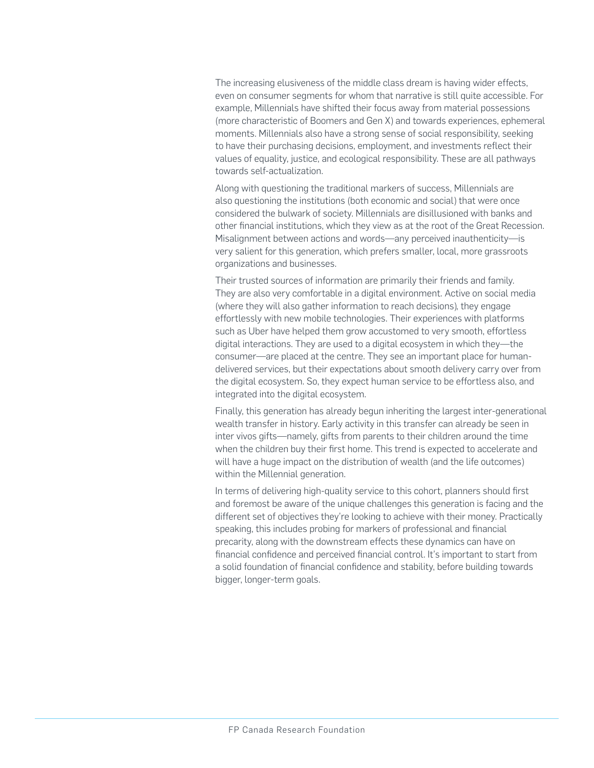The increasing elusiveness of the middle class dream is having wider effects, even on consumer segments for whom that narrative is still quite accessible. For example, Millennials have shifted their focus away from material possessions (more characteristic of Boomers and Gen X) and towards experiences, ephemeral moments. Millennials also have a strong sense of social responsibility, seeking to have their purchasing decisions, employment, and investments refect their values of equality, justice, and ecological responsibility. These are all pathways towards self-actualization.

Along with questioning the traditional markers of success, Millennials are also questioning the institutions (both economic and social) that were once considered the bulwark of society. Millennials are disillusioned with banks and other fnancial institutions, which they view as at the root of the Great Recession. Misalignment between actions and words—any perceived inauthenticity—is very salient for this generation, which prefers smaller, local, more grassroots organizations and businesses.

Their trusted sources of information are primarily their friends and family. They are also very comfortable in a digital environment. Active on social media (where they will also gather information to reach decisions), they engage effortlessly with new mobile technologies. Their experiences with platforms such as Uber have helped them grow accustomed to very smooth, effortless digital interactions. They are used to a digital ecosystem in which they—the consumer—are placed at the centre. They see an important place for humandelivered services, but their expectations about smooth delivery carry over from the digital ecosystem. So, they expect human service to be effortless also, and integrated into the digital ecosystem.

Finally, this generation has already begun inheriting the largest inter-generational wealth transfer in history. Early activity in this transfer can already be seen in inter vivos gifts—namely, gifts from parents to their children around the time when the children buy their frst home. This trend is expected to accelerate and will have a huge impact on the distribution of wealth (and the life outcomes) within the Millennial generation.

In terms of delivering high-quality service to this cohort, planners should first and foremost be aware of the unique challenges this generation is facing and the different set of objectives they're looking to achieve with their money. Practically speaking, this includes probing for markers of professional and fnancial precarity, along with the downstream effects these dynamics can have on fnancial confdence and perceived fnancial control. It's important to start from a solid foundation of fnancial confdence and stability, before building towards bigger, longer-term goals.